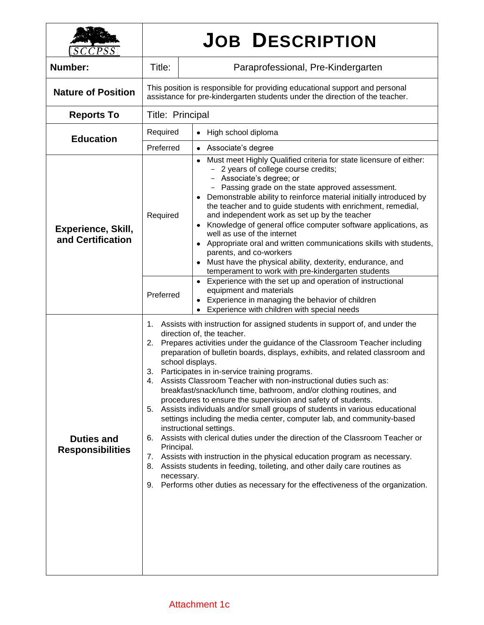| SCCPSS                                         |                                                                                                                                                                                                                                                                                                                                                                                                                                                                                                                                                                                                                                                                                                                                                                                                                                                                                                                                                                                                                                                                                                                                                    | <b>JOB DESCRIPTION</b>                                                                                                                                                                                                                                                                                                                                                                                                                                                                                                                                                                                                                                                                               |  |  |  |
|------------------------------------------------|----------------------------------------------------------------------------------------------------------------------------------------------------------------------------------------------------------------------------------------------------------------------------------------------------------------------------------------------------------------------------------------------------------------------------------------------------------------------------------------------------------------------------------------------------------------------------------------------------------------------------------------------------------------------------------------------------------------------------------------------------------------------------------------------------------------------------------------------------------------------------------------------------------------------------------------------------------------------------------------------------------------------------------------------------------------------------------------------------------------------------------------------------|------------------------------------------------------------------------------------------------------------------------------------------------------------------------------------------------------------------------------------------------------------------------------------------------------------------------------------------------------------------------------------------------------------------------------------------------------------------------------------------------------------------------------------------------------------------------------------------------------------------------------------------------------------------------------------------------------|--|--|--|
| Number:                                        | Title:                                                                                                                                                                                                                                                                                                                                                                                                                                                                                                                                                                                                                                                                                                                                                                                                                                                                                                                                                                                                                                                                                                                                             | Paraprofessional, Pre-Kindergarten                                                                                                                                                                                                                                                                                                                                                                                                                                                                                                                                                                                                                                                                   |  |  |  |
| <b>Nature of Position</b>                      | This position is responsible for providing educational support and personal<br>assistance for pre-kindergarten students under the direction of the teacher.                                                                                                                                                                                                                                                                                                                                                                                                                                                                                                                                                                                                                                                                                                                                                                                                                                                                                                                                                                                        |                                                                                                                                                                                                                                                                                                                                                                                                                                                                                                                                                                                                                                                                                                      |  |  |  |
| <b>Reports To</b>                              | Title: Principal                                                                                                                                                                                                                                                                                                                                                                                                                                                                                                                                                                                                                                                                                                                                                                                                                                                                                                                                                                                                                                                                                                                                   |                                                                                                                                                                                                                                                                                                                                                                                                                                                                                                                                                                                                                                                                                                      |  |  |  |
| <b>Education</b>                               | Required                                                                                                                                                                                                                                                                                                                                                                                                                                                                                                                                                                                                                                                                                                                                                                                                                                                                                                                                                                                                                                                                                                                                           | High school diploma<br>$\bullet$                                                                                                                                                                                                                                                                                                                                                                                                                                                                                                                                                                                                                                                                     |  |  |  |
|                                                | Preferred                                                                                                                                                                                                                                                                                                                                                                                                                                                                                                                                                                                                                                                                                                                                                                                                                                                                                                                                                                                                                                                                                                                                          | • Associate's degree                                                                                                                                                                                                                                                                                                                                                                                                                                                                                                                                                                                                                                                                                 |  |  |  |
| <b>Experience, Skill,</b><br>and Certification | Required                                                                                                                                                                                                                                                                                                                                                                                                                                                                                                                                                                                                                                                                                                                                                                                                                                                                                                                                                                                                                                                                                                                                           | Must meet Highly Qualified criteria for state licensure of either:<br>2 years of college course credits;<br>Associate's degree; or<br>Passing grade on the state approved assessment.<br>Demonstrable ability to reinforce material initially introduced by<br>the teacher and to guide students with enrichment, remedial,<br>and independent work as set up by the teacher<br>• Knowledge of general office computer software applications, as<br>well as use of the internet<br>• Appropriate oral and written communications skills with students,<br>parents, and co-workers<br>Must have the physical ability, dexterity, endurance, and<br>temperament to work with pre-kindergarten students |  |  |  |
|                                                | Preferred                                                                                                                                                                                                                                                                                                                                                                                                                                                                                                                                                                                                                                                                                                                                                                                                                                                                                                                                                                                                                                                                                                                                          | • Experience with the set up and operation of instructional<br>equipment and materials<br>Experience in managing the behavior of children<br>Experience with children with special needs                                                                                                                                                                                                                                                                                                                                                                                                                                                                                                             |  |  |  |
| <b>Duties and</b><br><b>Responsibilities</b>   | Assists with instruction for assigned students in support of, and under the<br>1.<br>direction of, the teacher.<br>Prepares activities under the guidance of the Classroom Teacher including<br>2.<br>preparation of bulletin boards, displays, exhibits, and related classroom and<br>school displays.<br>3. Participates in in-service training programs.<br>Assists Classroom Teacher with non-instructional duties such as:<br>4.<br>breakfast/snack/lunch time, bathroom, and/or clothing routines, and<br>procedures to ensure the supervision and safety of students.<br>Assists individuals and/or small groups of students in various educational<br>5.<br>settings including the media center, computer lab, and community-based<br>instructional settings.<br>Assists with clerical duties under the direction of the Classroom Teacher or<br>6.<br>Principal.<br>Assists with instruction in the physical education program as necessary.<br>7.<br>Assists students in feeding, toileting, and other daily care routines as<br>8.<br>necessary.<br>Performs other duties as necessary for the effectiveness of the organization.<br>9. |                                                                                                                                                                                                                                                                                                                                                                                                                                                                                                                                                                                                                                                                                                      |  |  |  |

٦

## Attachment 1c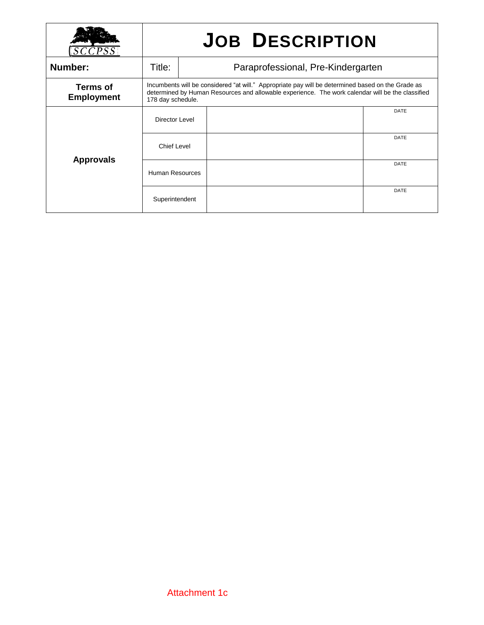|                                      | <b>JOB DESCRIPTION</b>                                                                                                                                                                                                     |  |  |             |
|--------------------------------------|----------------------------------------------------------------------------------------------------------------------------------------------------------------------------------------------------------------------------|--|--|-------------|
| Number:                              | Title:<br>Paraprofessional, Pre-Kindergarten                                                                                                                                                                               |  |  |             |
| <b>Terms of</b><br><b>Employment</b> | Incumbents will be considered "at will." Appropriate pay will be determined based on the Grade as<br>determined by Human Resources and allowable experience. The work calendar will be the classified<br>178 day schedule. |  |  |             |
| <b>Approvals</b>                     | Director Level                                                                                                                                                                                                             |  |  | <b>DATE</b> |
|                                      | <b>Chief Level</b>                                                                                                                                                                                                         |  |  | <b>DATE</b> |
|                                      | Human Resources                                                                                                                                                                                                            |  |  | DATE        |
|                                      | Superintendent                                                                                                                                                                                                             |  |  | <b>DATE</b> |